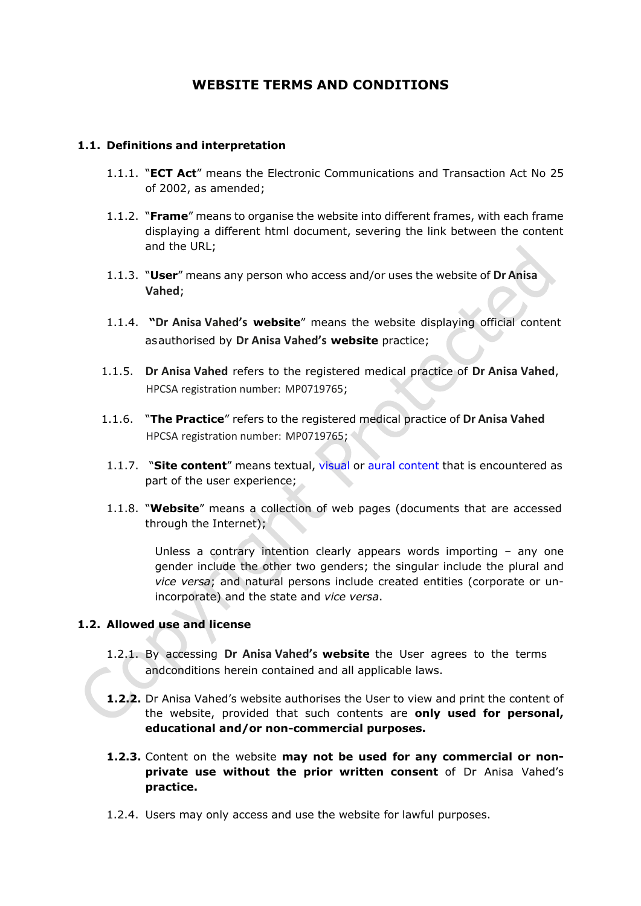# **WEBSITE TERMS AND CONDITIONS**

#### **1.1. Definitions and interpretation**

- 1.1.1. "**ECT Act**" means the Electronic Communications and Transaction Act No 25 of 2002, as amended;
- 1.1.2. "**Frame**" means to organise the website into different frames, with each frame displaying a different html document, severing the link between the content and the URL;
- 1.1.3. "**User**" means any person who access and/or uses the website of **Dr Anisa Vahed**;
- 1.1.4. **"Dr Anisa Vahed's website**" means the website displaying official content as authorised by **Dr Anisa Vahed's website** practice;
- 1.1.5. **Dr Anisa Vahed** refers to the registered medical practice of **Dr Anisa Vahed**, HPCSA registration number: MP0719765;
- 1.1.6. "**The Practice**" refers to the registered medical practice of **Dr Anisa Vahed** HPCSA registration number: MP0719765;
- 1.1.7. "**Site content**" means textual, [visual](http://en.wikipedia.org/wiki/Visual) or [aural](http://en.wikipedia.org/wiki/Aural) [content](http://en.wikipedia.org/wiki/Content_(media_and_publishing)) that is encountered as part of the user experience;
- 1.1.8. "**Website**" means a collection of web pages (documents that are accessed through the Internet);

Unless a contrary intention clearly appears words importing – any one gender include the other two genders; the singular include the plural and *vice versa*; and natural persons include created entities (corporate or unincorporate) and the state and *vice versa*.

#### **1.2. Allowed use and license**

- 1.2.1. By accessing **Dr Anisa Vahed's website** the User agrees to the terms andconditions herein contained and all applicable laws.
- **1.2.2.** Dr Anisa Vahed's website authorises the User to view and print the content of the website, provided that such contents are **only used for personal, educational and/or non-commercial purposes.**
- **1.2.3.** Content on the website **may not be used for any commercial or nonprivate use without the prior written consent** of Dr Anisa Vahed's **practice.**
- 1.2.4. Users may only access and use the website for lawful purposes.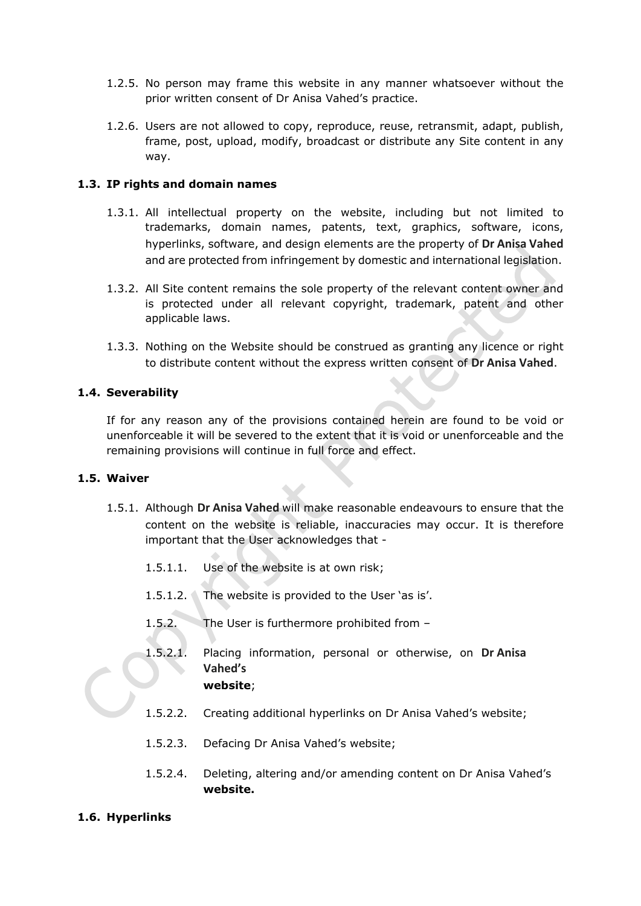- 1.2.5. No person may frame this website in any manner whatsoever without the prior written consent of Dr Anisa Vahed's practice.
- 1.2.6. Users are not allowed to copy, reproduce, reuse, retransmit, adapt, publish, frame, post, upload, modify, broadcast or distribute any Site content in any way.

# **1.3. IP rights and domain names**

- 1.3.1. All intellectual property on the website, including but not limited to trademarks, domain names, patents, text, graphics, software, icons, hyperlinks, software, and design elements are the property of **Dr Anisa Vahed** and are protected from infringement by domestic and international legislation.
- 1.3.2. All Site content remains the sole property of the relevant content owner and is protected under all relevant copyright, trademark, patent and other applicable laws.
- 1.3.3. Nothing on the Website should be construed as granting any licence or right to distribute content without the express written consent of **Dr Anisa Vahed**.

#### **1.4. Severability**

If for any reason any of the provisions contained herein are found to be void or unenforceable it will be severed to the extent that it is void or unenforceable and the remaining provisions will continue in full force and effect.

#### **1.5. Waiver**

- 1.5.1. Although **Dr Anisa Vahed** will make reasonable endeavours to ensure that the content on the website is reliable, inaccuracies may occur. It is therefore important that the User acknowledges that -
	- 1.5.1.1. Use of the website is at own risk;
	- 1.5.1.2. The website is provided to the User 'as is'.
	- 1.5.2. The User is furthermore prohibited from –
	- 1.5.2.1. Placing information, personal or otherwise, on **Dr Anisa Vahed's website**;

- 1.5.2.2. Creating additional hyperlinks on Dr Anisa Vahed's website;
- 1.5.2.3. Defacing Dr Anisa Vahed's website;
- 1.5.2.4. Deleting, altering and/or amending content on Dr Anisa Vahed's **website.**

#### **1.6. Hyperlinks**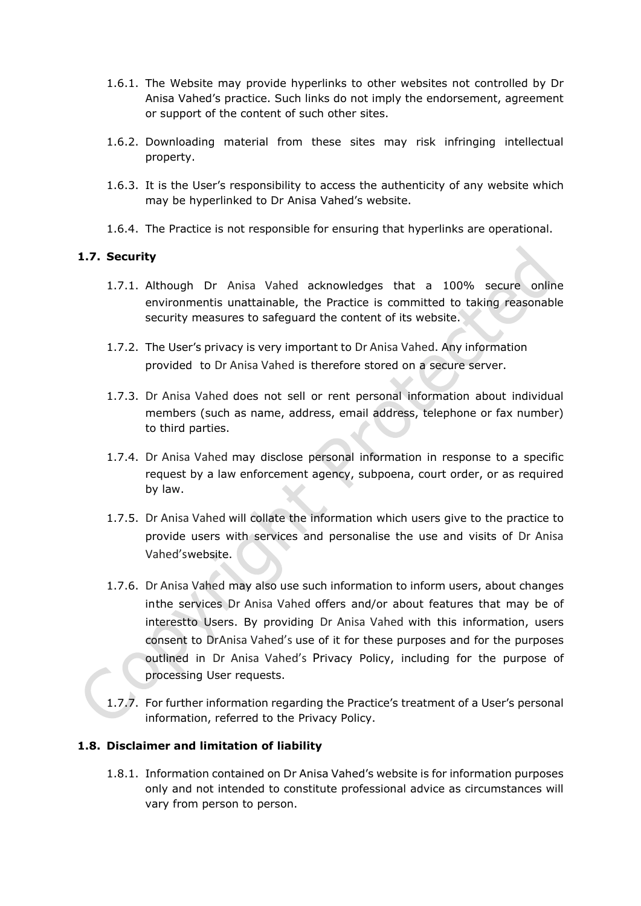- 1.6.1. The Website may provide hyperlinks to other websites not controlled by Dr Anisa Vahed's practice. Such links do not imply the endorsement, agreement or support of the content of such other sites.
- 1.6.2. Downloading material from these sites may risk infringing intellectual property.
- 1.6.3. It is the User's responsibility to access the authenticity of any website which may be hyperlinked to Dr Anisa Vahed's website.
- 1.6.4. The Practice is not responsible for ensuring that hyperlinks are operational.

# **1.7. Security**

- 1.7.1. Although Dr Anisa Vahed acknowledges that a 100% secure online environmentis unattainable, the Practice is committed to taking reasonable security measures to safeguard the content of its website.
- 1.7.2. The User's privacy is very important to Dr Anisa Vahed. Any information provided to Dr Anisa Vahed is therefore stored on a secure server.
- 1.7.3. Dr Anisa Vahed does not sell or rent personal information about individual members (such as name, address, email address, telephone or fax number) to third parties.
- 1.7.4. Dr Anisa Vahed may disclose personal information in response to a specific request by a law enforcement agency, subpoena, court order, or as required by law.
- 1.7.5. Dr Anisa Vahed will collate the information which users give to the practice to provide users with services and personalise the use and visits of Dr Anisa Vahed's website.
- 1.7.6. Dr Anisa Vahed may also use such information to inform users, about changes in the services Dr Anisa Vahed offers and/or about features that may be of interestto Users. By providing Dr Anisa Vahed with this information, users consent to DrAnisa Vahed's use of it for these purposes and for the purposes outlined in Dr Anisa Vahed's Privacy Policy, including for the purpose of processing User requests.
- 1.7.7. For further information regarding the Practice's treatment of a User's personal information, referred to the [Privacy](http://www.checkers.co.za/pages/198763778/Privacy-Policy.asp) Policy.

# **1.8. Disclaimer and limitation of liability**

1.8.1. Information contained on Dr Anisa Vahed's website is for information purposes only and not intended to constitute professional advice as circumstances will vary from person to person.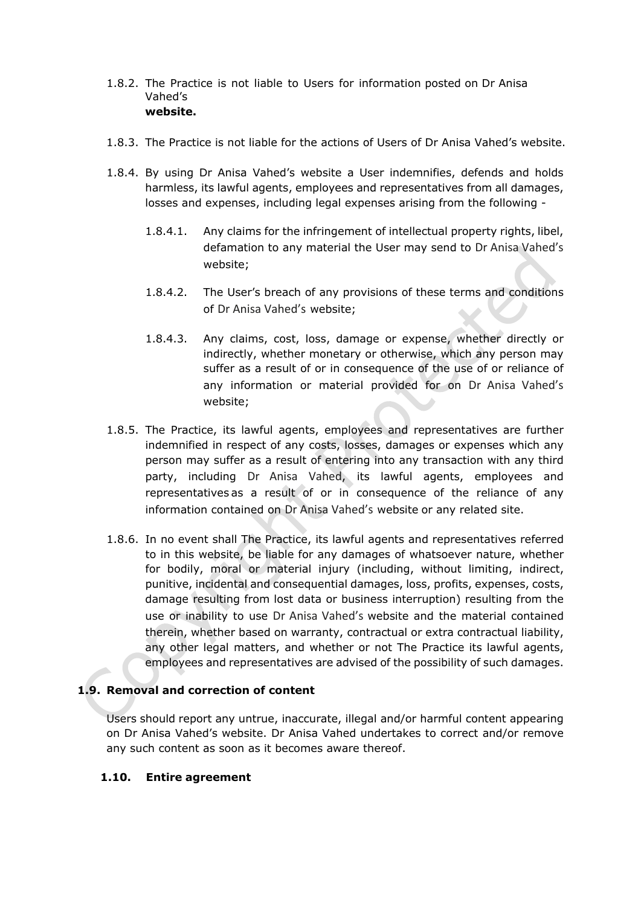- 1.8.2. The Practice is not liable to Users for information posted on Dr Anisa Vahed's **website.**
- 1.8.3. The Practice is not liable for the actions of Users of Dr Anisa Vahed's website.
- 1.8.4. By using Dr Anisa Vahed's website a User indemnifies, defends and holds harmless, its lawful agents, employees and representatives from all damages, losses and expenses, including legal expenses arising from the following -
	- 1.8.4.1. Any claims for the infringement of intellectual property rights, libel, defamation to any material the User may send to Dr Anisa Vahed's website;
	- 1.8.4.2. The User's breach of any provisions of these terms and conditions of Dr Anisa Vahed's website;
	- 1.8.4.3. Any claims, cost, loss, damage or expense, whether directly or indirectly, whether monetary or otherwise, which any person may suffer as a result of or in consequence of the use of or reliance of any information or material provided for on Dr Anisa Vahed's website;
- 1.8.5. The Practice, its lawful agents, employees and representatives are further indemnified in respect of any costs, losses, damages or expenses which any person may suffer as a result of entering into any transaction with any third party, including Dr Anisa Vahed, its lawful agents, employees and representatives as a result of or in consequence of the reliance of any information contained on Dr Anisa Vahed's website or any related site.
- 1.8.6. In no event shall The Practice, its lawful agents and representatives referred to in this website, be liable for any damages of whatsoever nature, whether for bodily, moral or material injury (including, without limiting, indirect, punitive, incidental and consequential damages, loss, profits, expenses, costs, damage resulting from lost data or business interruption) resulting from the use or inability to use Dr Anisa Vahed's website and the material contained therein, whether based on warranty, contractual or extra contractual liability, any other legal matters, and whether or not The Practice its lawful agents, employees and representatives are advised of the possibility of such damages.

# **1.9. Removal and correction of content**

Users should report any untrue, inaccurate, illegal and/or harmful content appearing on Dr Anisa Vahed's website. Dr Anisa Vahed undertakes to correct and/or remove any such content as soon as it becomes aware thereof.

# **1.10. Entire agreement**